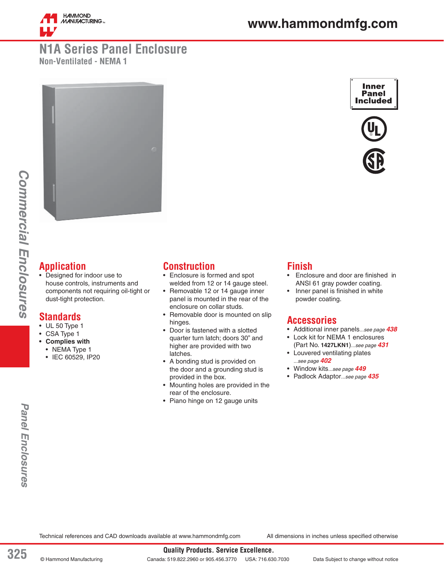

## **N1A Series Panel Enclosure Non-Ventilated - NEMA 1**



## **Application**

• Designed for indoor use to house controls, instruments and components not requiring oil-tight or dust-tight protection.

## **Standards**

- UL 50 Type 1
- CSA Type 1
- **Complies with**
	- NEMA Type 1
	- IEC 60529, IP20

## **Construction**

- Enclosure is formed and spot welded from 12 or 14 gauge steel.
- Removable 12 or 14 gauge inner panel is mounted in the rear of the enclosure on collar studs.
- Removable door is mounted on slip hinges.
- Door is fastened with a slotted quarter turn latch; doors 30" and higher are provided with two latches.
- A bonding stud is provided on the door and a grounding stud is provided in the box.
- Mounting holes are provided in the rear of the enclosure.
- Piano hinge on 12 gauge units

#### **Finish**

- Enclosure and door are finished in ANSI 61 gray powder coating.
- Inner panel is finished in white powder coating.

### **Accessories**

- Additional inner panels*...see page 438*
- Lock kit for NEMA 1 enclosures (Part No. **1427LKN1**)*...see page 431*
- Louvered ventilating plates *...see page 402*
- Window kits*...see page 449*
- Padlock Adaptor*...see page 435*

*Commercial Enclosures*

**Commercial Enclosures** 

Technical references and CAD downloads available at www.hammondmfg.com All dimensions in inches unless specified otherwise